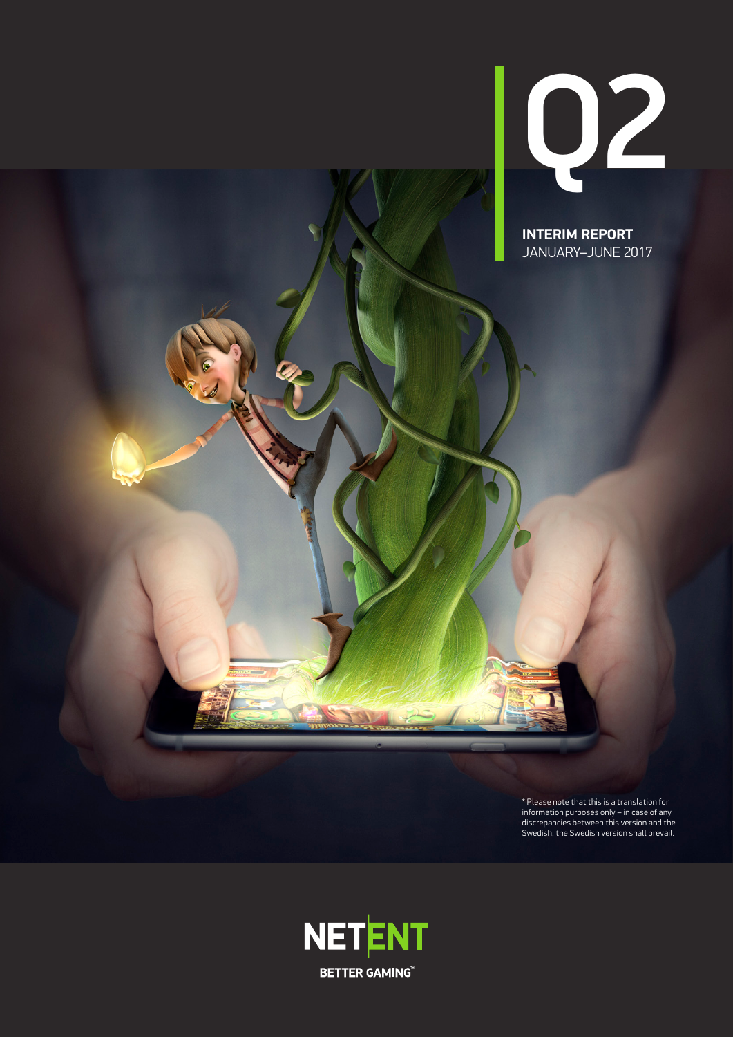

**INTERIM REPORT** JANUARY–JUNE 2017

\* Please note that this is a translation for information purposes only – in case of any discrepancies between this version and the Swedish, the Swedish version shall prevail.

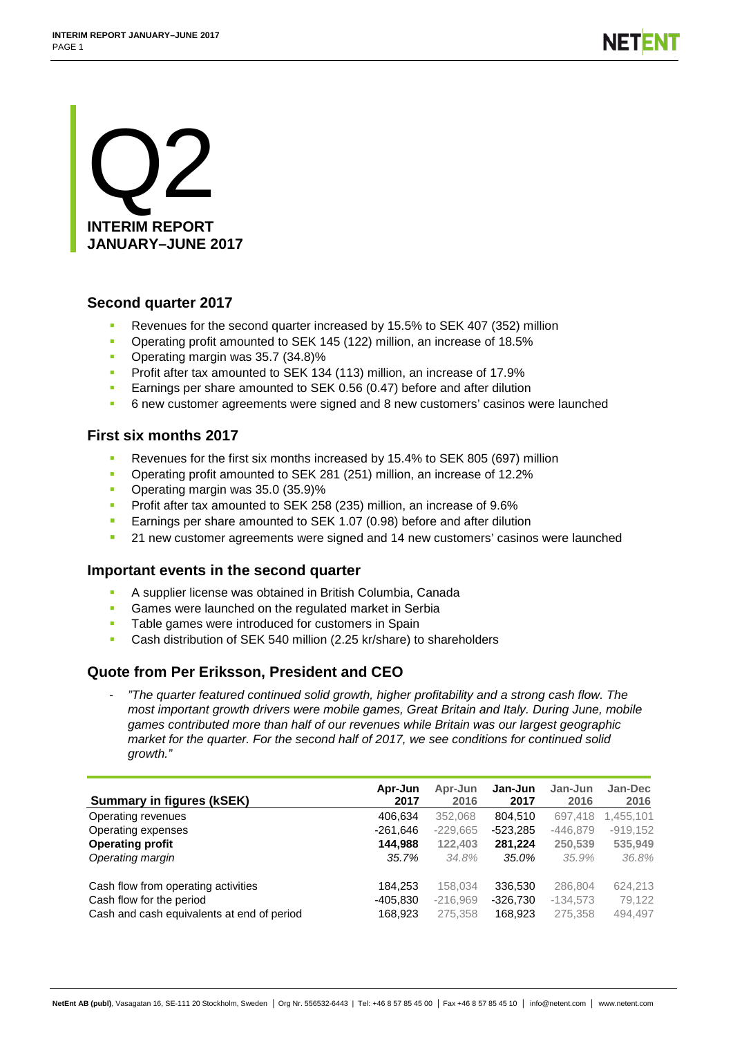

# **Second quarter 2017**

- Revenues for the second quarter increased by 15.5% to SEK 407 (352) million
- Operating profit amounted to SEK 145 (122) million, an increase of 18.5%
- **•** Operating margin was 35.7 (34.8)%
- **Profit after tax amounted to SEK 134 (113) million, an increase of 17.9%**
- **Earnings per share amounted to SEK 0.56 (0.47) before and after dilution**
- 6 new customer agreements were signed and 8 new customers' casinos were launched

# **First six months 2017**

- Revenues for the first six months increased by 15.4% to SEK 805 (697) million
- Operating profit amounted to SEK 281 (251) million, an increase of 12.2%
- **•** Operating margin was 35.0 (35.9)%
- **Profit after tax amounted to SEK 258 (235) million, an increase of 9.6%**
- **Earnings per share amounted to SEK 1.07 (0.98) before and after dilution**
- <sup>2</sup> 21 new customer agreements were signed and 14 new customers' casinos were launched

# **Important events in the second quarter**

- **A supplier license was obtained in British Columbia, Canada**
- Games were launched on the regulated market in Serbia
- **Table games were introduced for customers in Spain**
- Cash distribution of SEK 540 million (2.25 kr/share) to shareholders

# **Quote from Per Eriksson, President and CEO**

- *"The quarter featured continued solid growth, higher profitability and a strong cash flow. The most important growth drivers were mobile games, Great Britain and Italy. During June, mobile games contributed more than half of our revenues while Britain was our largest geographic market for the quarter. For the second half of 2017, we see conditions for continued solid growth."*

| Summary in figures (kSEK)                  | Apr-Jun<br>2017 | Apr-Jun<br>2016 | Jan-Jun<br>2017 | Jan-Jun<br>2016 | Jan-Dec<br>2016 |
|--------------------------------------------|-----------------|-----------------|-----------------|-----------------|-----------------|
| Operating revenues                         | 406.634         | 352,068         | 804.510         | 697.418         | 1.455.101       |
| Operating expenses                         | -261,646        | $-229,665$      | $-523,285$      | $-446.879$      | $-919.152$      |
| <b>Operating profit</b>                    | 144.988         | 122,403         | 281.224         | 250,539         | 535,949         |
| Operating margin                           | 35.7%           | 34.8%           | 35.0%           | 35.9%           | 36.8%           |
| Cash flow from operating activities        | 184,253         | 158.034         | 336,530         | 286,804         | 624.213         |
| Cash flow for the period                   | -405,830        | $-216,969$      | -326.730        | $-134,573$      | 79,122          |
| Cash and cash equivalents at end of period | 168.923         | 275,358         | 168.923         | 275,358         | 494.497         |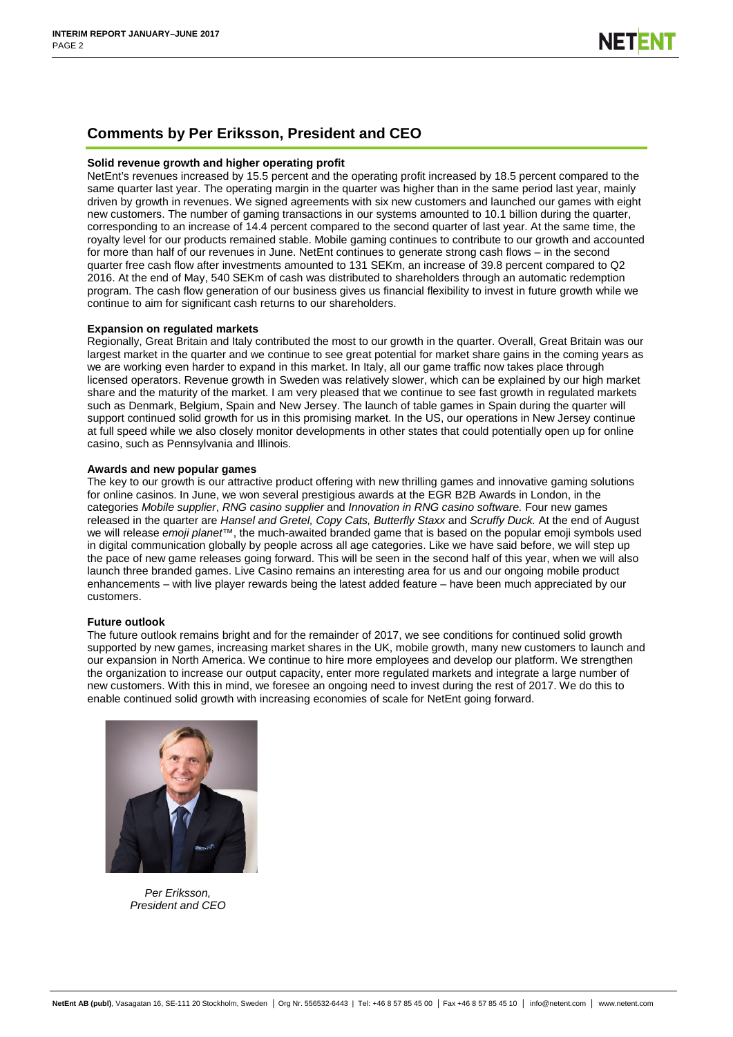# **Comments by Per Eriksson, President and CEO**

### **Solid revenue growth and higher operating profit**

NetEnt's revenues increased by 15.5 percent and the operating profit increased by 18.5 percent compared to the same quarter last year. The operating margin in the quarter was higher than in the same period last year, mainly driven by growth in revenues. We signed agreements with six new customers and launched our games with eight new customers. The number of gaming transactions in our systems amounted to 10.1 billion during the quarter, corresponding to an increase of 14.4 percent compared to the second quarter of last year. At the same time, the royalty level for our products remained stable. Mobile gaming continues to contribute to our growth and accounted for more than half of our revenues in June. NetEnt continues to generate strong cash flows – in the second quarter free cash flow after investments amounted to 131 SEKm, an increase of 39.8 percent compared to Q2 2016. At the end of May, 540 SEKm of cash was distributed to shareholders through an automatic redemption program. The cash flow generation of our business gives us financial flexibility to invest in future growth while we continue to aim for significant cash returns to our shareholders.

### **Expansion on regulated markets**

Regionally, Great Britain and Italy contributed the most to our growth in the quarter. Overall, Great Britain was our largest market in the quarter and we continue to see great potential for market share gains in the coming years as we are working even harder to expand in this market. In Italy, all our game traffic now takes place through licensed operators. Revenue growth in Sweden was relatively slower, which can be explained by our high market share and the maturity of the market. I am very pleased that we continue to see fast growth in regulated markets such as Denmark, Belgium, Spain and New Jersey. The launch of table games in Spain during the quarter will support continued solid growth for us in this promising market. In the US, our operations in New Jersey continue at full speed while we also closely monitor developments in other states that could potentially open up for online casino, such as Pennsylvania and Illinois.

### **Awards and new popular games**

The key to our growth is our attractive product offering with new thrilling games and innovative gaming solutions for online casinos. In June, we won several prestigious awards at the EGR B2B Awards in London, in the categories *Mobile supplier*, *RNG casino supplier* and *Innovation in RNG casino software.* Four new games released in the quarter are *Hansel and Gretel, Copy Cats, Butterfly Staxx* and *Scruffy Duck.* At the end of August we will release *emoji planet*™, the much-awaited branded game that is based on the popular emoji symbols used in digital communication globally by people across all age categories. Like we have said before, we will step up the pace of new game releases going forward. This will be seen in the second half of this year, when we will also launch three branded games. Live Casino remains an interesting area for us and our ongoing mobile product enhancements – with live player rewards being the latest added feature – have been much appreciated by our customers.

### **Future outlook**

The future outlook remains bright and for the remainder of 2017, we see conditions for continued solid growth supported by new games, increasing market shares in the UK, mobile growth, many new customers to launch and our expansion in North America. We continue to hire more employees and develop our platform. We strengthen the organization to increase our output capacity, enter more regulated markets and integrate a large number of new customers. With this in mind, we foresee an ongoing need to invest during the rest of 2017. We do this to enable continued solid growth with increasing economies of scale for NetEnt going forward.



*Per Eriksson, President and CEO*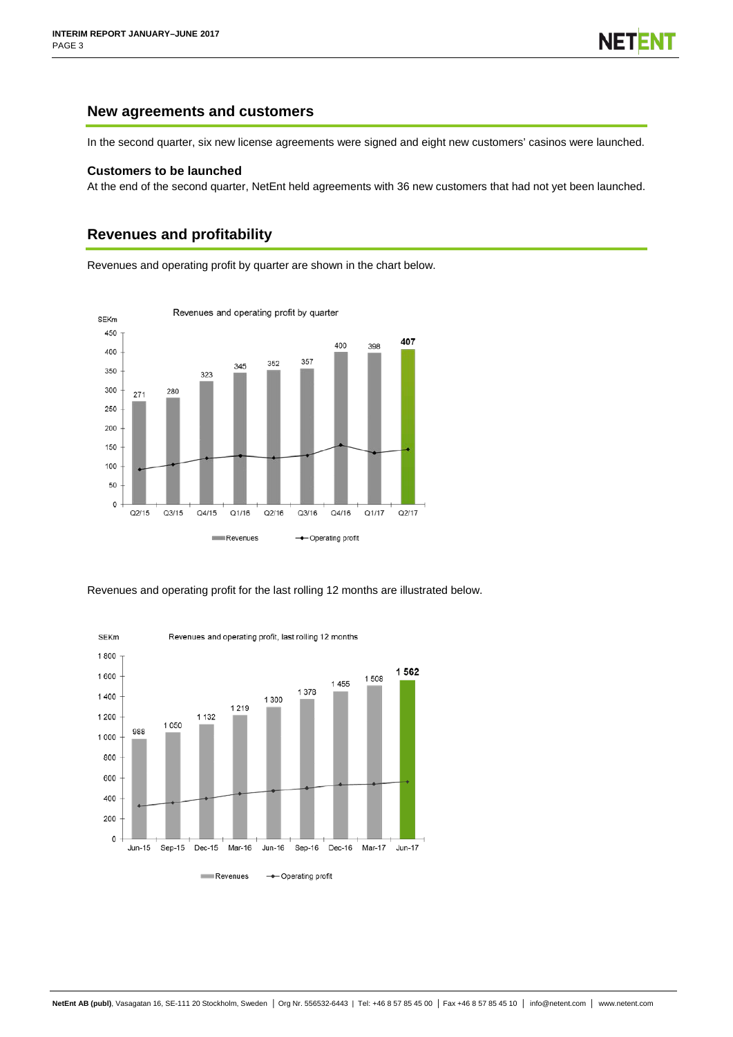# **New agreements and customers**

In the second quarter, six new license agreements were signed and eight new customers' casinos were launched.

## **Customers to be launched**

At the end of the second quarter, NetEnt held agreements with 36 new customers that had not yet been launched.

# **Revenues and profitability**

Revenues and operating profit by quarter are shown in the chart below.



Revenues and operating profit for the last rolling 12 months are illustrated below.



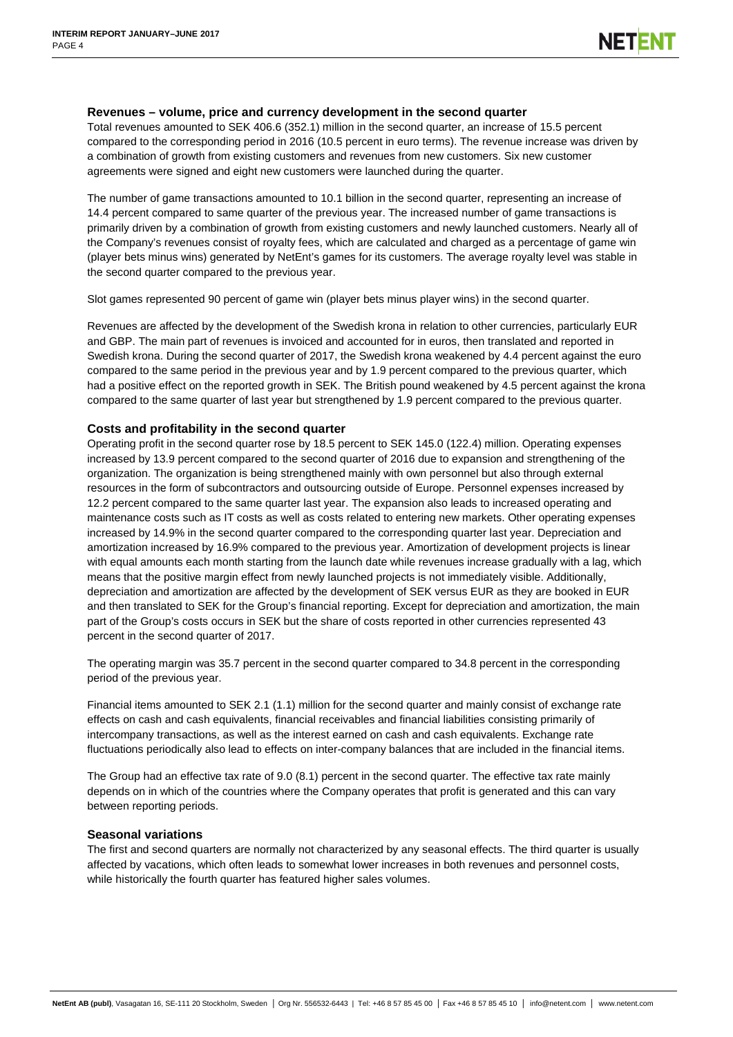## **Revenues – volume, price and currency development in the second quarter**

Total revenues amounted to SEK 406.6 (352.1) million in the second quarter, an increase of 15.5 percent compared to the corresponding period in 2016 (10.5 percent in euro terms). The revenue increase was driven by a combination of growth from existing customers and revenues from new customers. Six new customer agreements were signed and eight new customers were launched during the quarter.

The number of game transactions amounted to 10.1 billion in the second quarter, representing an increase of 14.4 percent compared to same quarter of the previous year. The increased number of game transactions is primarily driven by a combination of growth from existing customers and newly launched customers. Nearly all of the Company's revenues consist of royalty fees, which are calculated and charged as a percentage of game win (player bets minus wins) generated by NetEnt's games for its customers. The average royalty level was stable in the second quarter compared to the previous year.

Slot games represented 90 percent of game win (player bets minus player wins) in the second quarter.

Revenues are affected by the development of the Swedish krona in relation to other currencies, particularly EUR and GBP. The main part of revenues is invoiced and accounted for in euros, then translated and reported in Swedish krona. During the second quarter of 2017, the Swedish krona weakened by 4.4 percent against the euro compared to the same period in the previous year and by 1.9 percent compared to the previous quarter, which had a positive effect on the reported growth in SEK. The British pound weakened by 4.5 percent against the krona compared to the same quarter of last year but strengthened by 1.9 percent compared to the previous quarter.

# **Costs and profitability in the second quarter**

Operating profit in the second quarter rose by 18.5 percent to SEK 145.0 (122.4) million. Operating expenses increased by 13.9 percent compared to the second quarter of 2016 due to expansion and strengthening of the organization. The organization is being strengthened mainly with own personnel but also through external resources in the form of subcontractors and outsourcing outside of Europe. Personnel expenses increased by 12.2 percent compared to the same quarter last year. The expansion also leads to increased operating and maintenance costs such as IT costs as well as costs related to entering new markets. Other operating expenses increased by 14.9% in the second quarter compared to the corresponding quarter last year. Depreciation and amortization increased by 16.9% compared to the previous year. Amortization of development projects is linear with equal amounts each month starting from the launch date while revenues increase gradually with a lag, which means that the positive margin effect from newly launched projects is not immediately visible. Additionally, depreciation and amortization are affected by the development of SEK versus EUR as they are booked in EUR and then translated to SEK for the Group's financial reporting. Except for depreciation and amortization, the main part of the Group's costs occurs in SEK but the share of costs reported in other currencies represented 43 percent in the second quarter of 2017.

The operating margin was 35.7 percent in the second quarter compared to 34.8 percent in the corresponding period of the previous year.

Financial items amounted to SEK 2.1 (1.1) million for the second quarter and mainly consist of exchange rate effects on cash and cash equivalents, financial receivables and financial liabilities consisting primarily of intercompany transactions, as well as the interest earned on cash and cash equivalents. Exchange rate fluctuations periodically also lead to effects on inter-company balances that are included in the financial items.

The Group had an effective tax rate of 9.0 (8.1) percent in the second quarter. The effective tax rate mainly depends on in which of the countries where the Company operates that profit is generated and this can vary between reporting periods.

# **Seasonal variations**

The first and second quarters are normally not characterized by any seasonal effects. The third quarter is usually affected by vacations, which often leads to somewhat lower increases in both revenues and personnel costs, while historically the fourth quarter has featured higher sales volumes.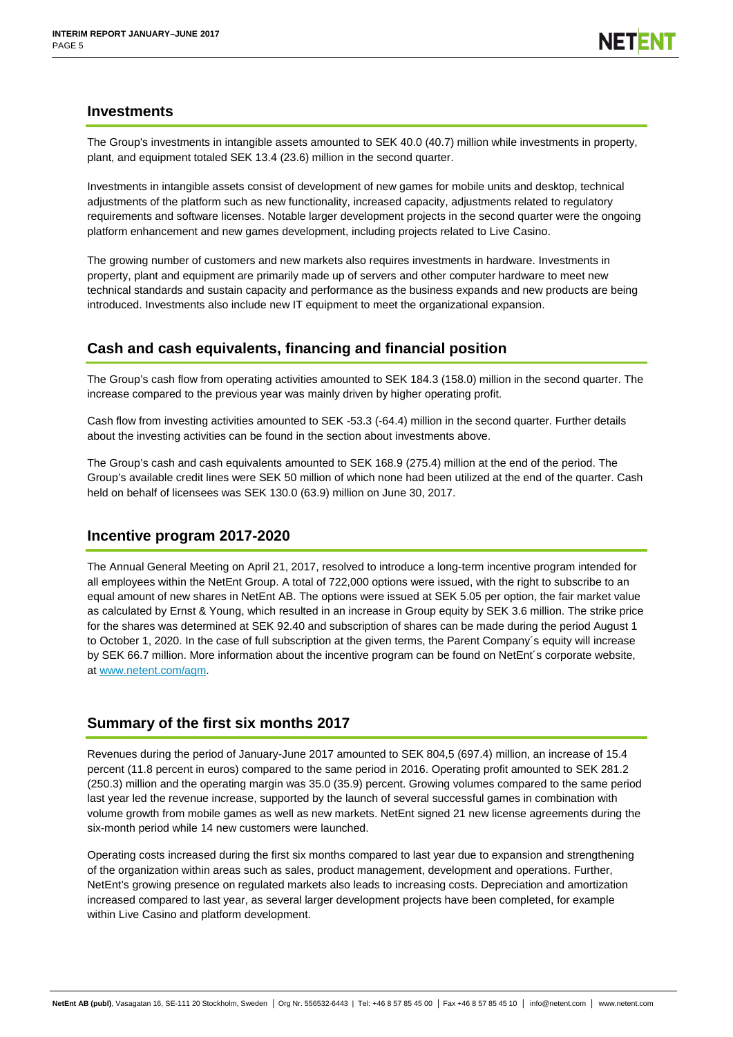## **Investments**

The Group's investments in intangible assets amounted to SEK 40.0 (40.7) million while investments in property, plant, and equipment totaled SEK 13.4 (23.6) million in the second quarter.

Investments in intangible assets consist of development of new games for mobile units and desktop, technical adjustments of the platform such as new functionality, increased capacity, adjustments related to regulatory requirements and software licenses. Notable larger development projects in the second quarter were the ongoing platform enhancement and new games development, including projects related to Live Casino.

The growing number of customers and new markets also requires investments in hardware. Investments in property, plant and equipment are primarily made up of servers and other computer hardware to meet new technical standards and sustain capacity and performance as the business expands and new products are being introduced. Investments also include new IT equipment to meet the organizational expansion.

# **Cash and cash equivalents, financing and financial position**

The Group's cash flow from operating activities amounted to SEK 184.3 (158.0) million in the second quarter. The increase compared to the previous year was mainly driven by higher operating profit.

Cash flow from investing activities amounted to SEK -53.3 (-64.4) million in the second quarter. Further details about the investing activities can be found in the section about investments above.

The Group's cash and cash equivalents amounted to SEK 168.9 (275.4) million at the end of the period. The Group's available credit lines were SEK 50 million of which none had been utilized at the end of the quarter. Cash held on behalf of licensees was SEK 130.0 (63.9) million on June 30, 2017.

# **Incentive program 2017-2020**

The Annual General Meeting on April 21, 2017, resolved to introduce a long-term incentive program intended for all employees within the NetEnt Group. A total of 722,000 options were issued, with the right to subscribe to an equal amount of new shares in NetEnt AB. The options were issued at SEK 5.05 per option, the fair market value as calculated by Ernst & Young, which resulted in an increase in Group equity by SEK 3.6 million. The strike price for the shares was determined at SEK 92.40 and subscription of shares can be made during the period August 1 to October 1, 2020. In the case of full subscription at the given terms, the Parent Company´s equity will increase by SEK 66.7 million. More information about the incentive program can be found on NetEnt´s corporate website, at [www.netent.com/agm.](file://office.necorp.dom/departments$/Investor-Relations/private/IR/IR/Kvartalsrapporter/2016/Q2/www.netent.com/agm)

# **Summary of the first six months 2017**

Revenues during the period of January-June 2017 amounted to SEK 804,5 (697.4) million, an increase of 15.4 percent (11.8 percent in euros) compared to the same period in 2016. Operating profit amounted to SEK 281.2 (250.3) million and the operating margin was 35.0 (35.9) percent. Growing volumes compared to the same period last year led the revenue increase, supported by the launch of several successful games in combination with volume growth from mobile games as well as new markets. NetEnt signed 21 new license agreements during the six-month period while 14 new customers were launched.

Operating costs increased during the first six months compared to last year due to expansion and strengthening of the organization within areas such as sales, product management, development and operations. Further, NetEnt's growing presence on regulated markets also leads to increasing costs. Depreciation and amortization increased compared to last year, as several larger development projects have been completed, for example within Live Casino and platform development.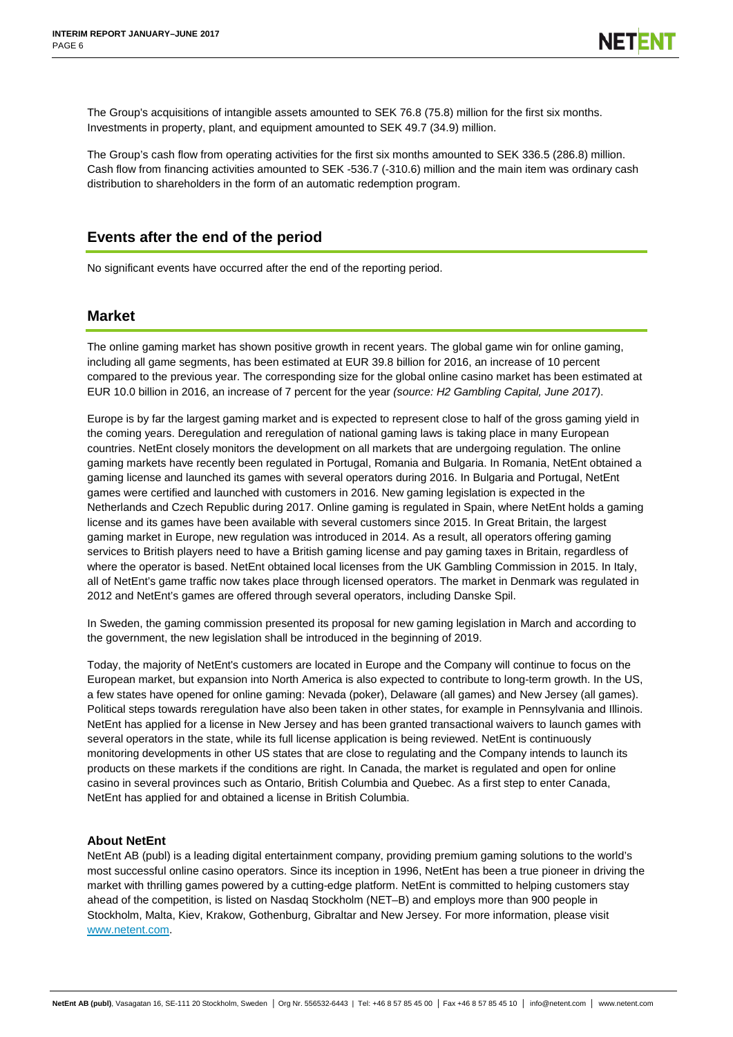The Group's acquisitions of intangible assets amounted to SEK 76.8 (75.8) million for the first six months. Investments in property, plant, and equipment amounted to SEK 49.7 (34.9) million.

The Group's cash flow from operating activities for the first six months amounted to SEK 336.5 (286.8) million. Cash flow from financing activities amounted to SEK -536.7 (-310.6) million and the main item was ordinary cash distribution to shareholders in the form of an automatic redemption program.

# **Events after the end of the period**

No significant events have occurred after the end of the reporting period.

## **Market**

The online gaming market has shown positive growth in recent years. The global game win for online gaming, including all game segments, has been estimated at EUR 39.8 billion for 2016, an increase of 10 percent compared to the previous year. The corresponding size for the global online casino market has been estimated at EUR 10.0 billion in 2016, an increase of 7 percent for the year *(source: H2 Gambling Capital, June 2017)*.

Europe is by far the largest gaming market and is expected to represent close to half of the gross gaming yield in the coming years. Deregulation and reregulation of national gaming laws is taking place in many European countries. NetEnt closely monitors the development on all markets that are undergoing regulation. The online gaming markets have recently been regulated in Portugal, Romania and Bulgaria. In Romania, NetEnt obtained a gaming license and launched its games with several operators during 2016. In Bulgaria and Portugal, NetEnt games were certified and launched with customers in 2016. New gaming legislation is expected in the Netherlands and Czech Republic during 2017. Online gaming is regulated in Spain, where NetEnt holds a gaming license and its games have been available with several customers since 2015. In Great Britain, the largest gaming market in Europe, new regulation was introduced in 2014. As a result, all operators offering gaming services to British players need to have a British gaming license and pay gaming taxes in Britain, regardless of where the operator is based. NetEnt obtained local licenses from the UK Gambling Commission in 2015. In Italy, all of NetEnt's game traffic now takes place through licensed operators. The market in Denmark was regulated in 2012 and NetEnt's games are offered through several operators, including Danske Spil.

In Sweden, the gaming commission presented its proposal for new gaming legislation in March and according to the government, the new legislation shall be introduced in the beginning of 2019.

Today, the majority of NetEnt's customers are located in Europe and the Company will continue to focus on the European market, but expansion into North America is also expected to contribute to long-term growth. In the US, a few states have opened for online gaming: Nevada (poker), Delaware (all games) and New Jersey (all games). Political steps towards reregulation have also been taken in other states, for example in Pennsylvania and Illinois. NetEnt has applied for a license in New Jersey and has been granted transactional waivers to launch games with several operators in the state, while its full license application is being reviewed. NetEnt is continuously monitoring developments in other US states that are close to regulating and the Company intends to launch its products on these markets if the conditions are right. In Canada, the market is regulated and open for online casino in several provinces such as Ontario, British Columbia and Quebec. As a first step to enter Canada, NetEnt has applied for and obtained a license in British Columbia.

### **About NetEnt**

NetEnt AB (publ) is a leading digital entertainment company, providing premium gaming solutions to the world's most successful online casino operators. Since its inception in 1996, NetEnt has been a true pioneer in driving the market with thrilling games powered by a cutting-edge platform. NetEnt is committed to helping customers stay ahead of the competition, is listed on Nasdaq Stockholm (NET–B) and employs more than 900 people in Stockholm, Malta, Kiev, Krakow, Gothenburg, Gibraltar and New Jersey. For more information, please visit [www.netent.com.](file://office.necorp.dom/departments$/Investor-Relations/private/IR/IR/Kvartalsrapporter/2016/Q1/www.netent.com)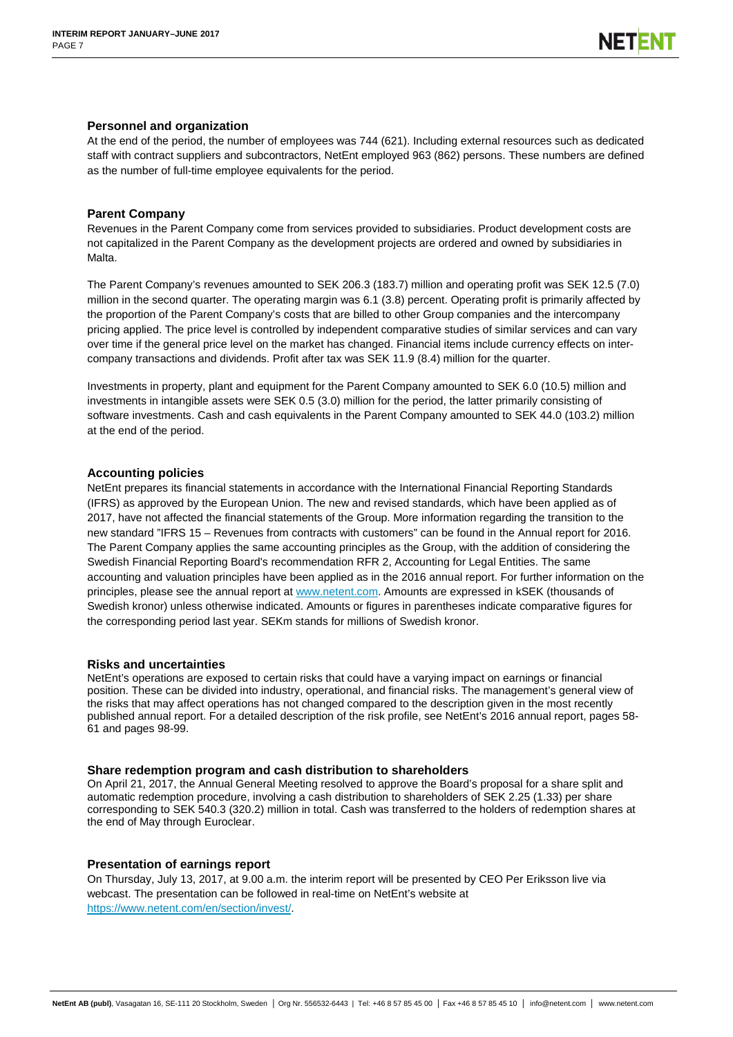### **Personnel and organization**

At the end of the period, the number of employees was 744 (621). Including external resources such as dedicated staff with contract suppliers and subcontractors, NetEnt employed 963 (862) persons. These numbers are defined as the number of full-time employee equivalents for the period.

### **Parent Company**

Revenues in the Parent Company come from services provided to subsidiaries. Product development costs are not capitalized in the Parent Company as the development projects are ordered and owned by subsidiaries in Malta.

The Parent Company's revenues amounted to SEK 206.3 (183.7) million and operating profit was SEK 12.5 (7.0) million in the second quarter. The operating margin was 6.1 (3.8) percent. Operating profit is primarily affected by the proportion of the Parent Company's costs that are billed to other Group companies and the intercompany pricing applied. The price level is controlled by independent comparative studies of similar services and can vary over time if the general price level on the market has changed. Financial items include currency effects on intercompany transactions and dividends. Profit after tax was SEK 11.9 (8.4) million for the quarter.

Investments in property, plant and equipment for the Parent Company amounted to SEK 6.0 (10.5) million and investments in intangible assets were SEK 0.5 (3.0) million for the period, the latter primarily consisting of software investments. Cash and cash equivalents in the Parent Company amounted to SEK 44.0 (103.2) million at the end of the period.

### **Accounting policies**

NetEnt prepares its financial statements in accordance with the International Financial Reporting Standards (IFRS) as approved by the European Union. The new and revised standards, which have been applied as of 2017, have not affected the financial statements of the Group. More information regarding the transition to the new standard "IFRS 15 – Revenues from contracts with customers" can be found in the Annual report for 2016. The Parent Company applies the same accounting principles as the Group, with the addition of considering the Swedish Financial Reporting Board's recommendation RFR 2, Accounting for Legal Entities. The same accounting and valuation principles have been applied as in the 2016 annual report. For further information on the principles, please see the annual report a[t www.netent.com.](file://office.necorp.dom/departments$/Investor-Relations/private/IR/IR/Kvartalsrapporter/2016/Q1/www.netent.com) Amounts are expressed in kSEK (thousands of Swedish kronor) unless otherwise indicated. Amounts or figures in parentheses indicate comparative figures for the corresponding period last year. SEKm stands for millions of Swedish kronor.

### **Risks and uncertainties**

NetEnt's operations are exposed to certain risks that could have a varying impact on earnings or financial position. These can be divided into industry, operational, and financial risks. The management's general view of the risks that may affect operations has not changed compared to the description given in the most recently published annual report. For a detailed description of the risk profile, see NetEnt's 2016 annual report, pages 58- 61 and pages 98-99.

### **Share redemption program and cash distribution to shareholders**

On April 21, 2017, the Annual General Meeting resolved to approve the Board's proposal for a share split and automatic redemption procedure, involving a cash distribution to shareholders of SEK 2.25 (1.33) per share corresponding to SEK 540.3 (320.2) million in total. Cash was transferred to the holders of redemption shares at the end of May through Euroclear.

### **Presentation of earnings report**

On Thursday, July 13, 2017, at 9.00 a.m. the interim report will be presented by CEO Per Eriksson live via webcast. The presentation can be followed in real-time on NetEnt's website at [https://www.netent.com/en/section/invest/.](https://www.netent.com/en/section/invest/)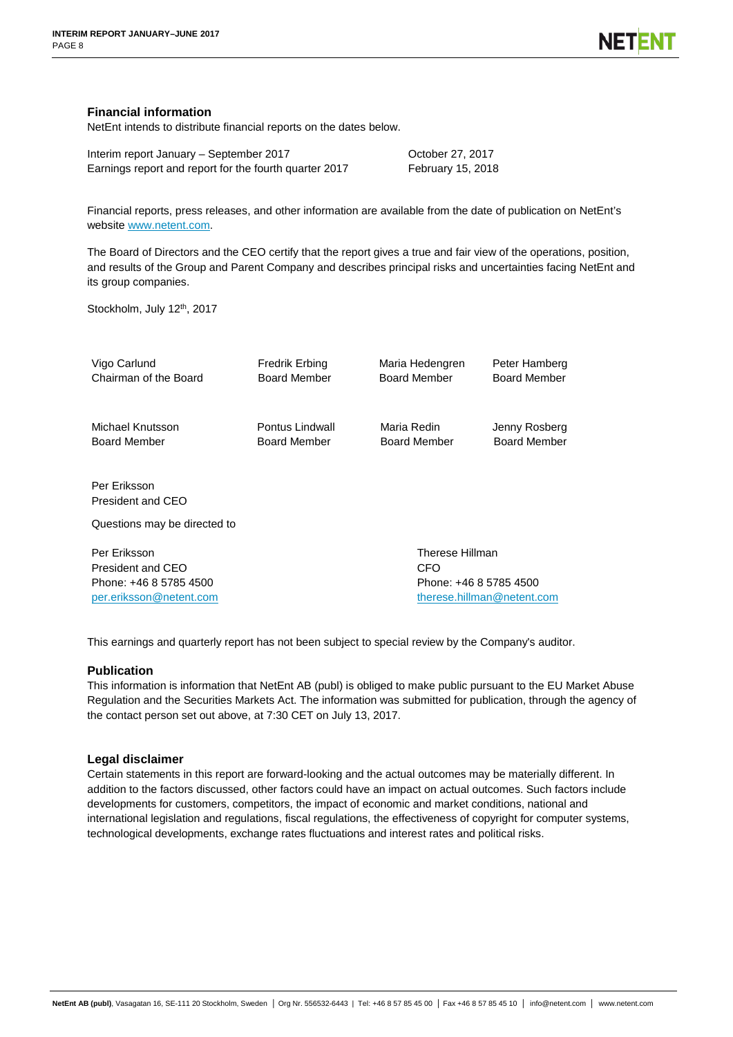### **Financial information**

NetEnt intends to distribute financial reports on the dates below.

| Interim report January - September 2017                |  |
|--------------------------------------------------------|--|
| Earnings report and report for the fourth quarter 2017 |  |

October 27, 2017 February 15, 2018

Financial reports, press releases, and other information are available from the date of publication on NetEnt's website [www.netent.com.](file://office.necorp.dom/departments$/Investor-Relations/private/IR/IR/Kvartalsrapporter/2016/Q2/www.netent.com)

The Board of Directors and the CEO certify that the report gives a true and fair view of the operations, position, and results of the Group and Parent Company and describes principal risks and uncertainties facing NetEnt and its group companies.

Stockholm, July 12<sup>th</sup>, 2017

| Vigo Carlund                      | Fredrik Erbing             | Maria Hedengren     | Peter Hamberg       |  |  |  |
|-----------------------------------|----------------------------|---------------------|---------------------|--|--|--|
| Chairman of the Board             | <b>Board Member</b>        | <b>Board Member</b> | <b>Board Member</b> |  |  |  |
| Michael Knutsson                  | Pontus Lindwall            | Maria Redin         | Jenny Rosberg       |  |  |  |
| <b>Board Member</b>               | <b>Board Member</b>        | <b>Board Member</b> | Board Member        |  |  |  |
| Per Eriksson<br>President and CEO |                            |                     |                     |  |  |  |
| Questions may be directed to      |                            |                     |                     |  |  |  |
| Per Eriksson                      | Therese Hillman            |                     |                     |  |  |  |
| President and CEO                 | CFO                        |                     |                     |  |  |  |
| Phone: +46 8 5785 4500            | Phone: +46 8 5785 4500     |                     |                     |  |  |  |
| per.eriksson@netent.com           | therese.hillman@netent.com |                     |                     |  |  |  |

This earnings and quarterly report has not been subject to special review by the Company's auditor.

### **Publication**

This information is information that NetEnt AB (publ) is obliged to make public pursuant to the EU Market Abuse Regulation and the Securities Markets Act. The information was submitted for publication, through the agency of the contact person set out above, at 7:30 CET on July 13, 2017.

### **Legal disclaimer**

Certain statements in this report are forward-looking and the actual outcomes may be materially different. In addition to the factors discussed, other factors could have an impact on actual outcomes. Such factors include developments for customers, competitors, the impact of economic and market conditions, national and international legislation and regulations, fiscal regulations, the effectiveness of copyright for computer systems, technological developments, exchange rates fluctuations and interest rates and political risks.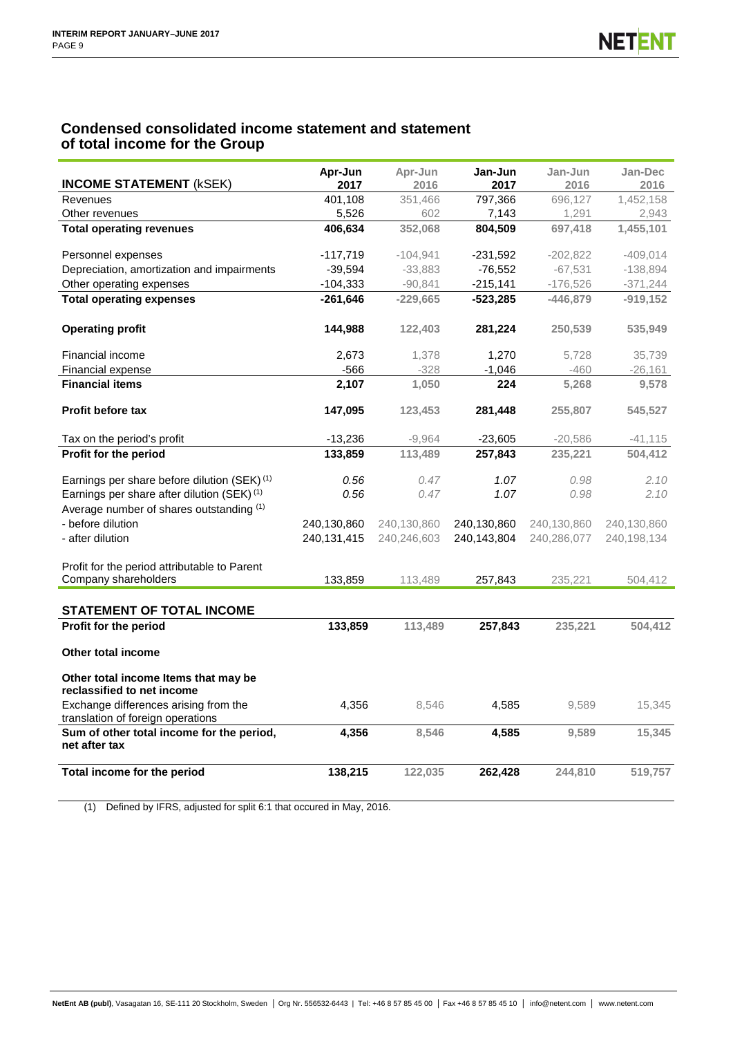# **Condensed consolidated income statement and statement of total income for the Group**

| <b>INCOME STATEMENT (KSEK)</b>                                             | Apr-Jun         | Apr-Jun         | Jan-Jun         | Jan-Jun         | Jan-Dec           |
|----------------------------------------------------------------------------|-----------------|-----------------|-----------------|-----------------|-------------------|
| Revenues                                                                   | 2017<br>401,108 | 2016<br>351,466 | 2017<br>797,366 | 2016<br>696,127 | 2016<br>1,452,158 |
| Other revenues                                                             | 5,526           | 602             | 7,143           | 1,291           | 2,943             |
|                                                                            |                 |                 |                 |                 |                   |
| <b>Total operating revenues</b>                                            | 406,634         | 352,068         | 804,509         | 697,418         | 1,455,101         |
| Personnel expenses                                                         | $-117,719$      | $-104,941$      | $-231,592$      | $-202,822$      | $-409,014$        |
| Depreciation, amortization and impairments                                 | $-39,594$       | $-33,883$       | $-76,552$       | $-67,531$       | $-138,894$        |
| Other operating expenses                                                   | $-104,333$      | $-90,841$       | $-215,141$      | $-176,526$      | $-371,244$        |
| <b>Total operating expenses</b>                                            | $-261,646$      | $-229,665$      | $-523,285$      | $-446,879$      | $-919,152$        |
| <b>Operating profit</b>                                                    | 144,988         | 122,403         | 281,224         | 250,539         | 535,949           |
| Financial income                                                           | 2,673           | 1,378           | 1,270           | 5,728           | 35,739            |
| Financial expense                                                          | $-566$          | $-328$          | $-1,046$        | $-460$          | $-26,161$         |
| <b>Financial items</b>                                                     | 2,107           | 1.050           | 224             | 5,268           | 9,578             |
| <b>Profit before tax</b>                                                   | 147,095         | 123,453         | 281,448         | 255,807         | 545,527           |
| Tax on the period's profit                                                 | $-13,236$       | $-9,964$        | $-23,605$       | $-20,586$       | -41,115           |
| Profit for the period                                                      | 133,859         | 113,489         | 257,843         | 235,221         | 504.412           |
| Earnings per share before dilution (SEK) <sup>(1)</sup>                    | 0.56            | 0.47            | 1.07            | 0.98            | 2.10              |
| Earnings per share after dilution (SEK) <sup>(1)</sup>                     | 0.56            | 0.47            | 1.07            | 0.98            | 2.10              |
| Average number of shares outstanding (1)                                   |                 |                 |                 |                 |                   |
| - before dilution                                                          | 240,130,860     | 240,130,860     | 240,130,860     | 240,130,860     | 240,130,860       |
| - after dilution                                                           | 240,131,415     | 240,246,603     | 240,143,804     | 240,286,077     | 240,198,134       |
|                                                                            |                 |                 |                 |                 |                   |
| Profit for the period attributable to Parent                               |                 |                 |                 |                 |                   |
| Company shareholders                                                       | 133,859         | 113,489         | 257,843         | 235.221         | 504.412           |
|                                                                            |                 |                 |                 |                 |                   |
| <b>STATEMENT OF TOTAL INCOME</b>                                           |                 |                 |                 |                 |                   |
| Profit for the period                                                      | 133,859         | 113,489         | 257,843         | 235,221         | 504,412           |
| Other total income                                                         |                 |                 |                 |                 |                   |
| Other total income Items that may be                                       |                 |                 |                 |                 |                   |
| reclassified to net income                                                 |                 |                 |                 |                 |                   |
| Exchange differences arising from the<br>translation of foreign operations | 4,356           | 8,546           | 4,585           | 9,589           | 15,345            |
| Sum of other total income for the period,<br>net after tax                 | 4,356           | 8,546           | 4,585           | 9,589           | 15,345            |
| Total income for the period                                                | 138,215         | 122,035         | 262,428         | 244,810         | 519,757           |

(1) Defined by IFRS, adjusted for split 6:1 that occured in May, 2016.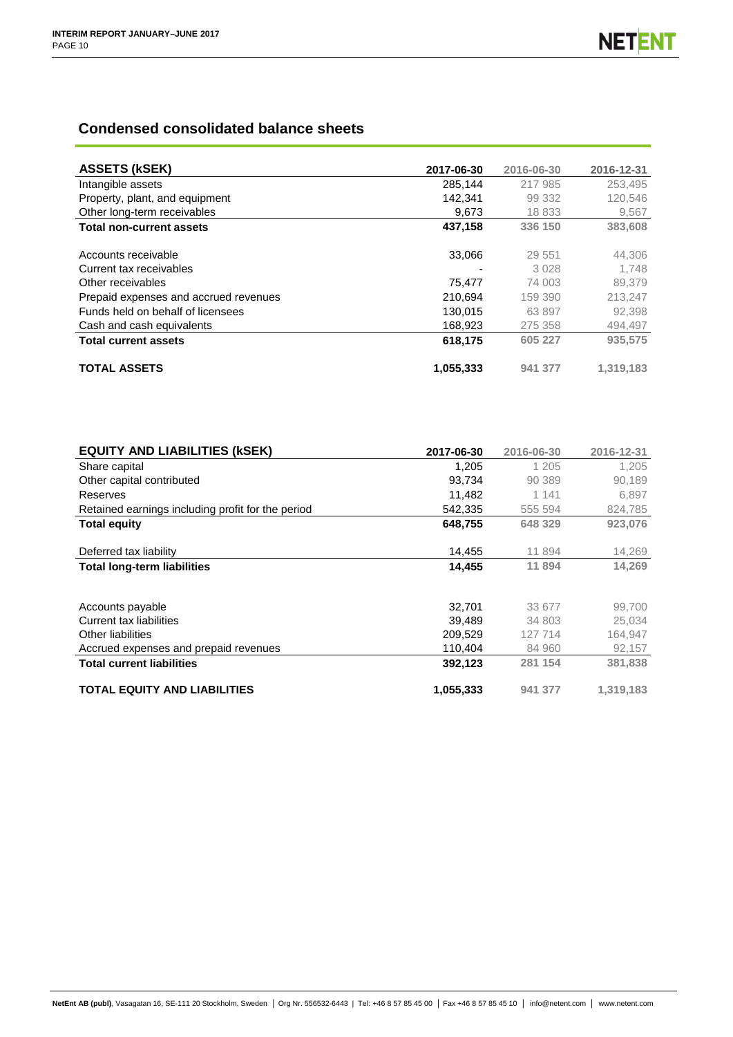# **Condensed consolidated balance sheets**

| <b>ASSETS (KSEK)</b>                  | 2017-06-30 | 2016-06-30 | 2016-12-31 |
|---------------------------------------|------------|------------|------------|
| Intangible assets                     | 285,144    | 217 985    | 253,495    |
| Property, plant, and equipment        | 142.341    | 99 332     | 120,546    |
| Other long-term receivables           | 9.673      | 18 833     | 9,567      |
| <b>Total non-current assets</b>       | 437,158    | 336 150    | 383,608    |
|                                       |            |            |            |
| Accounts receivable                   | 33,066     | 29 551     | 44,306     |
| Current tax receivables               | ۰          | 3 0 2 8    | 1.748      |
| Other receivables                     | 75.477     | 74 003     | 89,379     |
| Prepaid expenses and accrued revenues | 210,694    | 159 390    | 213,247    |
| Funds held on behalf of licensees     | 130.015    | 63 897     | 92,398     |
| Cash and cash equivalents             | 168.923    | 275 358    | 494,497    |
| <b>Total current assets</b>           | 618.175    | 605 227    | 935,575    |
| <b>TOTAL ASSETS</b>                   | 1,055,333  | 941 377    | 1,319,183  |

| <b>EQUITY AND LIABILITIES (KSEK)</b>              | 2017-06-30 | 2016-06-30 | 2016-12-31 |
|---------------------------------------------------|------------|------------|------------|
| Share capital                                     | 1,205      | 1 205      | 1,205      |
| Other capital contributed                         | 93.734     | 90 389     | 90,189     |
| Reserves                                          | 11.482     | 1 1 4 1    | 6.897      |
| Retained earnings including profit for the period | 542,335    | 555 594    | 824,785    |
| <b>Total equity</b>                               | 648,755    | 648 329    | 923,076    |
|                                                   |            |            |            |
| Deferred tax liability                            | 14,455     | 11 894     | 14,269     |
| <b>Total long-term liabilities</b>                | 14,455     | 11 894     | 14,269     |
|                                                   |            |            |            |
| Accounts payable                                  | 32,701     | 33 677     | 99,700     |
| Current tax liabilities                           | 39,489     | 34 803     | 25,034     |
| Other liabilities                                 | 209,529    | 127 714    | 164,947    |
| Accrued expenses and prepaid revenues             | 110,404    | 84 960     | 92,157     |
| <b>Total current liabilities</b>                  | 392,123    | 281 154    | 381,838    |
|                                                   |            |            |            |
| <b>TOTAL EQUITY AND LIABILITIES</b>               | 1,055,333  | 941 377    | 1,319,183  |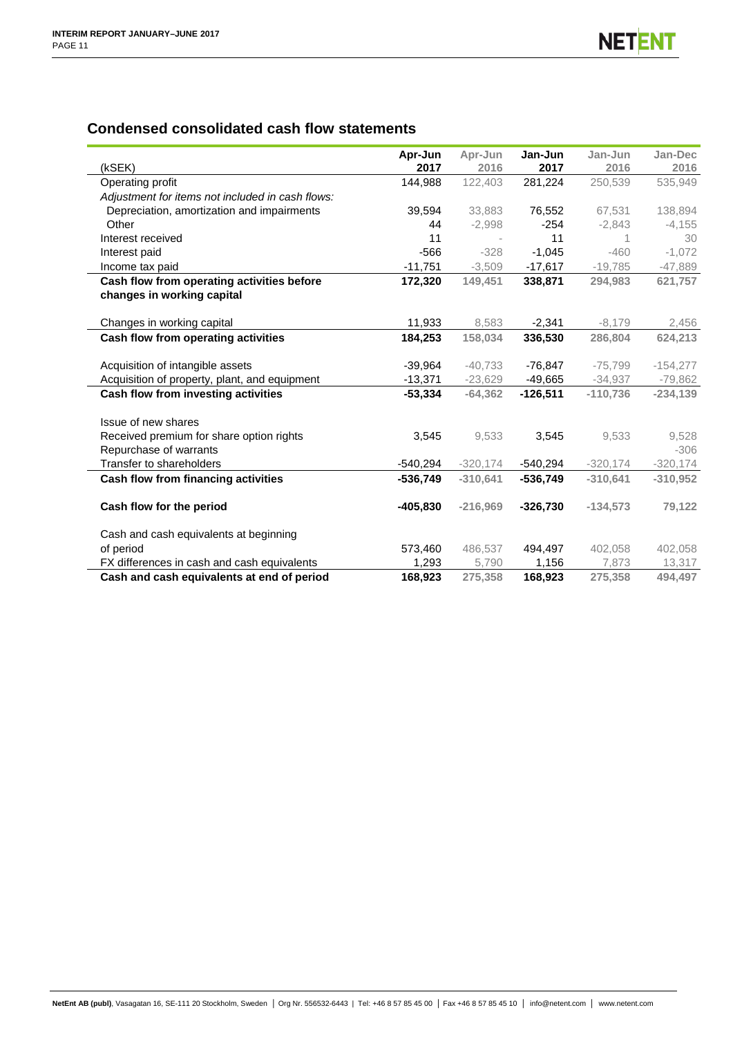# **Condensed consolidated cash flow statements**

|                                                  | Apr-Jun    | Apr-Jun    | Jan-Jun    | Jan-Jun    | Jan-Dec    |
|--------------------------------------------------|------------|------------|------------|------------|------------|
| (kSEK)                                           | 2017       | 2016       | 2017       | 2016       | 2016       |
| Operating profit                                 | 144,988    | 122,403    | 281,224    | 250,539    | 535,949    |
| Adjustment for items not included in cash flows: |            |            |            |            |            |
| Depreciation, amortization and impairments       | 39,594     | 33,883     | 76,552     | 67,531     | 138,894    |
| Other                                            | 44         | $-2,998$   | $-254$     | $-2,843$   | $-4,155$   |
| Interest received                                | 11         |            | 11         |            | 30         |
| Interest paid                                    | $-566$     | $-328$     | $-1.045$   | $-460$     | $-1,072$   |
| Income tax paid                                  | $-11,751$  | $-3,509$   | $-17,617$  | $-19,785$  | $-47,889$  |
| Cash flow from operating activities before       | 172,320    | 149,451    | 338,871    | 294,983    | 621,757    |
| changes in working capital                       |            |            |            |            |            |
|                                                  |            |            |            |            |            |
| Changes in working capital                       | 11,933     | 8,583      | $-2,341$   | $-8,179$   | 2,456      |
| Cash flow from operating activities              | 184,253    | 158,034    | 336,530    | 286,804    | 624,213    |
|                                                  |            |            |            |            |            |
| Acquisition of intangible assets                 | $-39,964$  | $-40,733$  | $-76,847$  | $-75,799$  | $-154,277$ |
| Acquisition of property, plant, and equipment    | $-13,371$  | $-23,629$  | $-49,665$  | $-34,937$  | $-79,862$  |
| Cash flow from investing activities              | $-53,334$  | $-64,362$  | $-126,511$ | $-110,736$ | $-234,139$ |
|                                                  |            |            |            |            |            |
| Issue of new shares                              |            |            |            |            |            |
| Received premium for share option rights         | 3,545      | 9,533      | 3,545      | 9,533      | 9,528      |
| Repurchase of warrants                           |            |            |            |            | $-306$     |
| Transfer to shareholders                         | $-540,294$ | $-320,174$ | $-540,294$ | $-320,174$ | $-320,174$ |
| Cash flow from financing activities              | $-536,749$ | $-310.641$ | $-536.749$ | $-310,641$ | $-310,952$ |
|                                                  |            |            |            |            |            |
| Cash flow for the period                         | $-405,830$ | $-216,969$ | $-326,730$ | $-134,573$ | 79,122     |
|                                                  |            |            |            |            |            |
| Cash and cash equivalents at beginning           |            |            |            |            |            |
| of period                                        | 573,460    | 486,537    | 494,497    | 402.058    | 402,058    |
| FX differences in cash and cash equivalents      | 1,293      | 5,790      | 1,156      | 7,873      | 13,317     |
| Cash and cash equivalents at end of period       | 168,923    | 275,358    | 168,923    | 275,358    | 494,497    |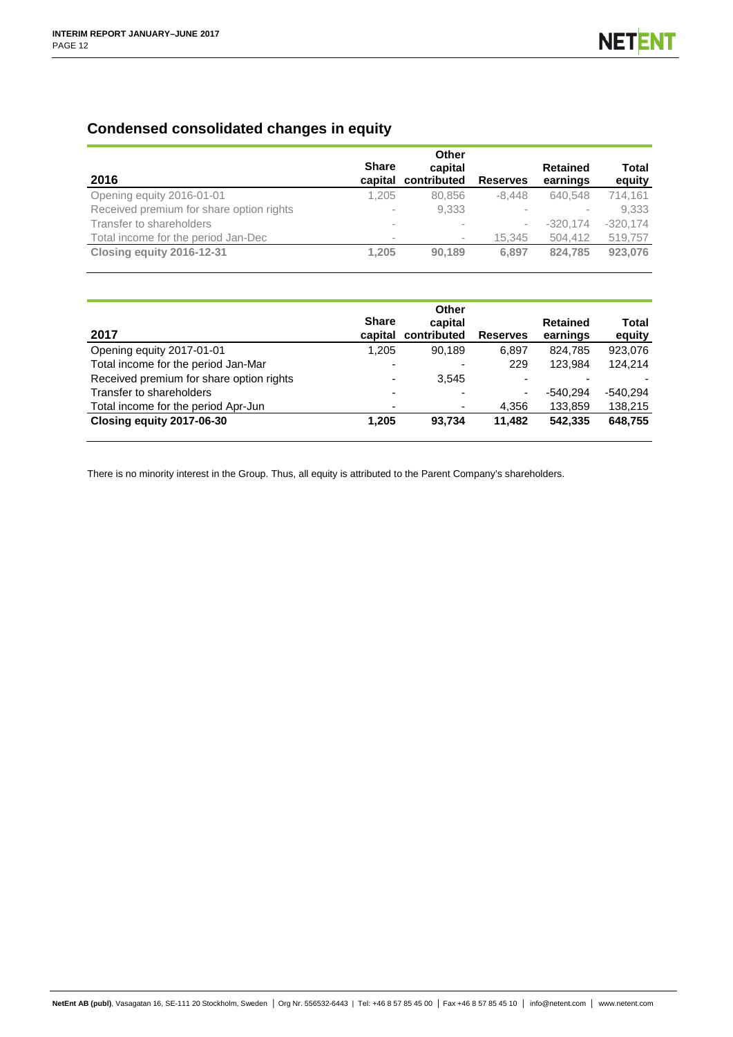# **Condensed consolidated changes in equity**

| 2016                                     | <b>Share</b><br>capital  | Other<br>capital<br>contributed | <b>Reserves</b>          | <b>Retained</b><br>earnings | Total<br>equity |
|------------------------------------------|--------------------------|---------------------------------|--------------------------|-----------------------------|-----------------|
| Opening equity 2016-01-01                | 1.205                    | 80,856                          | $-8.448$                 | 640.548                     | 714.161         |
| Received premium for share option rights | $\overline{\phantom{a}}$ | 9,333                           |                          |                             | 9,333           |
| Transfer to shareholders                 | $\,$                     |                                 | $\overline{\phantom{a}}$ | $-320.174$                  | $-320,174$      |
| Total income for the period Jan-Dec      | $\,$                     | $\overline{\phantom{a}}$        | 15.345                   | 504.412                     | 519,757         |
| Closing equity 2016-12-31                | 1.205                    | 90.189                          | 6,897                    | 824.785                     | 923,076         |

| 2017                                     | <b>Share</b><br>capital  | Other<br>capital<br>contributed | <b>Reserves</b>          | <b>Retained</b><br>earnings | <b>Total</b><br>equity |
|------------------------------------------|--------------------------|---------------------------------|--------------------------|-----------------------------|------------------------|
| Opening equity 2017-01-01                | 1.205                    | 90.189                          | 6.897                    | 824.785                     | 923,076                |
| Total income for the period Jan-Mar      | $\overline{\phantom{0}}$ |                                 | 229                      | 123.984                     | 124.214                |
| Received premium for share option rights | $\overline{\phantom{a}}$ | 3.545                           | $\overline{\phantom{0}}$ |                             |                        |
| Transfer to shareholders                 | ٠                        | ٠                               |                          | $-540.294$                  | $-540.294$             |
| Total income for the period Apr-Jun      | ۰                        | ٠                               | 4,356                    | 133,859                     | 138,215                |
| Closing equity 2017-06-30                | 1,205                    | 93.734                          | 11.482                   | 542.335                     | 648,755                |

There is no minority interest in the Group. Thus, all equity is attributed to the Parent Company's shareholders.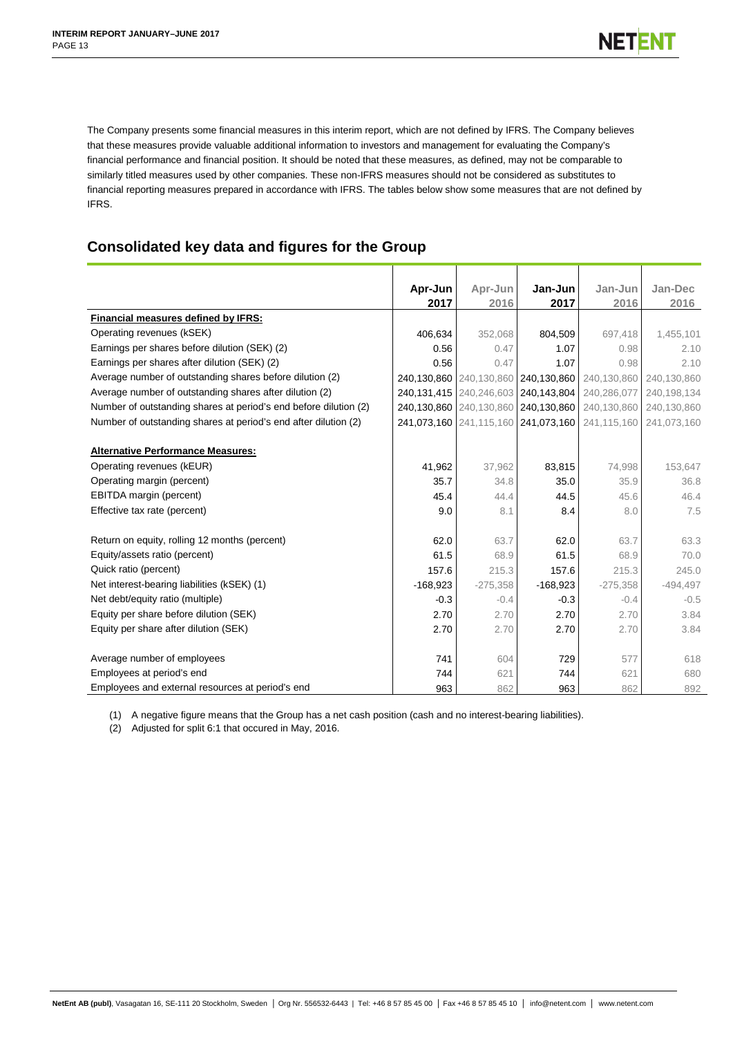The Company presents some financial measures in this interim report, which are not defined by IFRS. The Company believes that these measures provide valuable additional information to investors and management for evaluating the Company's financial performance and financial position. It should be noted that these measures, as defined, may not be comparable to similarly titled measures used by other companies. These non-IFRS measures should not be considered as substitutes to financial reporting measures prepared in accordance with IFRS. The tables below show some measures that are not defined by IFRS.

# **Consolidated key data and figures for the Group**

|                                                                  | Apr-Jun    | Apr-Jun                     | Jan-Jun     | Jan-Jun     | Jan-Dec       |
|------------------------------------------------------------------|------------|-----------------------------|-------------|-------------|---------------|
|                                                                  | 2017       | 2016                        | 2017        | 2016        | 2016          |
| Financial measures defined by IFRS:                              |            |                             |             |             |               |
| Operating revenues (kSEK)                                        | 406,634    | 352,068                     | 804,509     | 697,418     | 1,455,101     |
| Earnings per shares before dilution (SEK) (2)                    | 0.56       | 0.47                        | 1.07        | 0.98        | 2.10          |
| Earnings per shares after dilution (SEK) (2)                     | 0.56       | 0.47                        | 1.07        | 0.98        | 2.10          |
| Average number of outstanding shares before dilution (2)         |            | 240,130,860 240,130,860     | 240,130,860 | 240,130,860 | 240,130,860   |
| Average number of outstanding shares after dilution (2)          |            | 240, 131, 415 240, 246, 603 | 240,143,804 | 240,286,077 | 240, 198, 134 |
| Number of outstanding shares at period's end before dilution (2) |            | 240,130,860 240,130,860     | 240,130,860 | 240,130,860 | 240,130,860   |
| Number of outstanding shares at period's end after dilution (2)  |            | 241,073,160 241,115,160     | 241,073,160 | 241,115,160 | 241,073,160   |
|                                                                  |            |                             |             |             |               |
| <b>Alternative Performance Measures:</b>                         |            |                             |             |             |               |
| Operating revenues (kEUR)                                        | 41,962     | 37,962                      | 83,815      | 74,998      | 153,647       |
| Operating margin (percent)                                       | 35.7       | 34.8                        | 35.0        | 35.9        | 36.8          |
| EBITDA margin (percent)                                          | 45.4       | 44.4                        | 44.5        | 45.6        | 46.4          |
| Effective tax rate (percent)                                     | 9.0        | 8.1                         | 8.4         | 8.0         | 7.5           |
|                                                                  |            |                             |             |             |               |
| Return on equity, rolling 12 months (percent)                    | 62.0       | 63.7                        | 62.0        | 63.7        | 63.3          |
| Equity/assets ratio (percent)                                    | 61.5       | 68.9                        | 61.5        | 68.9        | 70.0          |
| Quick ratio (percent)                                            | 157.6      | 215.3                       | 157.6       | 215.3       | 245.0         |
| Net interest-bearing liabilities (kSEK) (1)                      | $-168,923$ | $-275,358$                  | $-168,923$  | $-275,358$  | $-494,497$    |
| Net debt/equity ratio (multiple)                                 | $-0.3$     | $-0.4$                      | $-0.3$      | $-0.4$      | $-0.5$        |
| Equity per share before dilution (SEK)                           | 2.70       | 2.70                        | 2.70        | 2.70        | 3.84          |
| Equity per share after dilution (SEK)                            | 2.70       | 2.70                        | 2.70        | 2.70        | 3.84          |
|                                                                  |            |                             |             |             |               |
| Average number of employees                                      | 741        | 604                         | 729         | 577         | 618           |
| Employees at period's end                                        | 744        | 621                         | 744         | 621         | 680           |
| Employees and external resources at period's end                 | 963        | 862                         | 963         | 862         | 892           |

(1) A negative figure means that the Group has a net cash position (cash and no interest-bearing liabilities).

(2) Adjusted for split 6:1 that occured in May, 2016.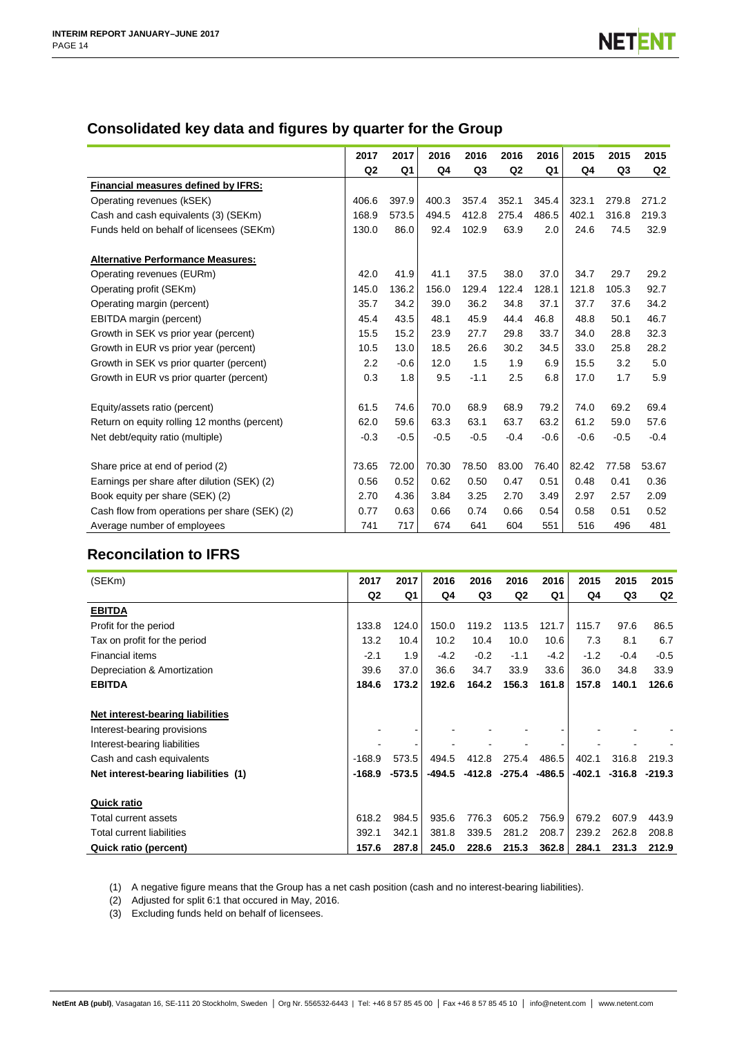# **Consolidated key data and figures by quarter for the Group**

|                                               | 2017           | 2017   | 2016   | 2016           | 2016           | 2016           | 2015   | 2015           | 2015   |
|-----------------------------------------------|----------------|--------|--------|----------------|----------------|----------------|--------|----------------|--------|
|                                               | Q <sub>2</sub> | Q1     | Q4     | Q <sub>3</sub> | Q <sub>2</sub> | Q <sub>1</sub> | Q4     | Q <sub>3</sub> | Q2     |
| Financial measures defined by IFRS:           |                |        |        |                |                |                |        |                |        |
| Operating revenues (kSEK)                     | 406.6          | 397.9  | 400.3  | 357.4          | 352.1          | 345.4          | 323.1  | 279.8          | 271.2  |
| Cash and cash equivalents (3) (SEKm)          | 168.9          | 573.5  | 494.5  | 412.8          | 275.4          | 486.5          | 402.1  | 316.8          | 219.3  |
| Funds held on behalf of licensees (SEKm)      | 130.0          | 86.0   | 92.4   | 102.9          | 63.9           | 2.0            | 24.6   | 74.5           | 32.9   |
| <b>Alternative Performance Measures:</b>      |                |        |        |                |                |                |        |                |        |
| Operating revenues (EURm)                     | 42.0           | 41.9   | 41.1   | 37.5           | 38.0           | 37.0           | 34.7   | 29.7           | 29.2   |
| Operating profit (SEKm)                       | 145.0          | 136.2  | 156.0  | 129.4          | 122.4          | 128.1          | 121.8  | 105.3          | 92.7   |
| Operating margin (percent)                    | 35.7           | 34.2   | 39.0   | 36.2           | 34.8           | 37.1           | 37.7   | 37.6           | 34.2   |
| EBITDA margin (percent)                       | 45.4           | 43.5   | 48.1   | 45.9           | 44.4           | 46.8           | 48.8   | 50.1           | 46.7   |
| Growth in SEK vs prior year (percent)         | 15.5           | 15.2   | 23.9   | 27.7           | 29.8           | 33.7           | 34.0   | 28.8           | 32.3   |
| Growth in EUR vs prior year (percent)         | 10.5           | 13.0   | 18.5   | 26.6           | 30.2           | 34.5           | 33.0   | 25.8           | 28.2   |
| Growth in SEK vs prior quarter (percent)      | 2.2            | $-0.6$ | 12.0   | 1.5            | 1.9            | 6.9            | 15.5   | 3.2            | 5.0    |
| Growth in EUR vs prior quarter (percent)      | 0.3            | 1.8    | 9.5    | $-1.1$         | 2.5            | 6.8            | 17.0   | 1.7            | 5.9    |
| Equity/assets ratio (percent)                 | 61.5           | 74.6   | 70.0   | 68.9           | 68.9           | 79.2           | 74.0   | 69.2           | 69.4   |
| Return on equity rolling 12 months (percent)  | 62.0           | 59.6   | 63.3   | 63.1           | 63.7           | 63.2           | 61.2   | 59.0           | 57.6   |
| Net debt/equity ratio (multiple)              | $-0.3$         | $-0.5$ | $-0.5$ | $-0.5$         | $-0.4$         | $-0.6$         | $-0.6$ | $-0.5$         | $-0.4$ |
| Share price at end of period (2)              | 73.65          | 72.00  | 70.30  | 78.50          | 83.00          | 76.40          | 82.42  | 77.58          | 53.67  |
| Earnings per share after dilution (SEK) (2)   | 0.56           | 0.52   | 0.62   | 0.50           | 0.47           | 0.51           | 0.48   | 0.41           | 0.36   |
| Book equity per share (SEK) (2)               | 2.70           | 4.36   | 3.84   | 3.25           | 2.70           | 3.49           | 2.97   | 2.57           | 2.09   |
| Cash flow from operations per share (SEK) (2) | 0.77           | 0.63   | 0.66   | 0.74           | 0.66           | 0.54           | 0.58   | 0.51           | 0.52   |
| Average number of employees                   | 741            | 717    | 674    | 641            | 604            | 551            | 516    | 496            | 481    |

# **Reconcilation to IFRS**

| (SEKm)                               | 2017           | 2017     | 2016     | 2016           | 2016           | 2016   | 2015   | 2015             | 2015   |
|--------------------------------------|----------------|----------|----------|----------------|----------------|--------|--------|------------------|--------|
|                                      | Q <sub>2</sub> | Q1       | Q4       | Q <sub>3</sub> | Q <sub>2</sub> | Q1     | Q4     | Q <sub>3</sub>   | Q2     |
| <b>EBITDA</b>                        |                |          |          |                |                |        |        |                  |        |
| Profit for the period                | 133.8          | 124.0    | 150.0    | 119.2          | 113.5          | 121.7  | 115.7  | 97.6             | 86.5   |
| Tax on profit for the period         | 13.2           | 10.4     | 10.2     | 10.4           | 10.0           | 10.6   | 7.3    | 8.1              | 6.7    |
| <b>Financial items</b>               | $-2.1$         | 1.9      | $-4.2$   | $-0.2$         | $-1.1$         | $-4.2$ | $-1.2$ | $-0.4$           | $-0.5$ |
| Depreciation & Amortization          | 39.6           | 37.0     | 36.6     | 34.7           | 33.9           | 33.6   | 36.0   | 34.8             | 33.9   |
| <b>EBITDA</b>                        | 184.6          | 173.2    | 192.6    | 164.2          | 156.3          | 161.8  | 157.8  | 140.1            | 126.6  |
| Net interest-bearing liabilities     |                |          |          |                |                |        |        |                  |        |
| Interest-bearing provisions          |                |          |          |                |                |        |        |                  |        |
| Interest-bearing liabilities         |                |          |          |                |                |        |        |                  |        |
| Cash and cash equivalents            | $-168.9$       | 573.5    | 494.5    | 412.8          | 275.4          | 486.5  | 402.1  | 316.8            | 219.3  |
| Net interest-bearing liabilities (1) | $-168.9$       | $-573.5$ | $-494.5$ | -412.8         | -275.4         | -486.5 | -402.1 | $-316.8 - 219.3$ |        |
| <b>Quick ratio</b>                   |                |          |          |                |                |        |        |                  |        |
| Total current assets                 | 618.2          | 984.5    | 935.6    | 776.3          | 605.2          | 756.9  | 679.2  | 607.9            | 443.9  |
| <b>Total current liabilities</b>     | 392.1          | 342.1    | 381.8    | 339.5          | 281.2          | 208.7  | 239.2  | 262.8            | 208.8  |
| Quick ratio (percent)                | 157.6          | 287.8    | 245.0    | 228.6          | 215.3          | 362.8  | 284.1  | 231.3            | 212.9  |

(1) A negative figure means that the Group has a net cash position (cash and no interest-bearing liabilities).

(2) Adjusted for split 6:1 that occured in May, 2016.

(3) Excluding funds held on behalf of licensees.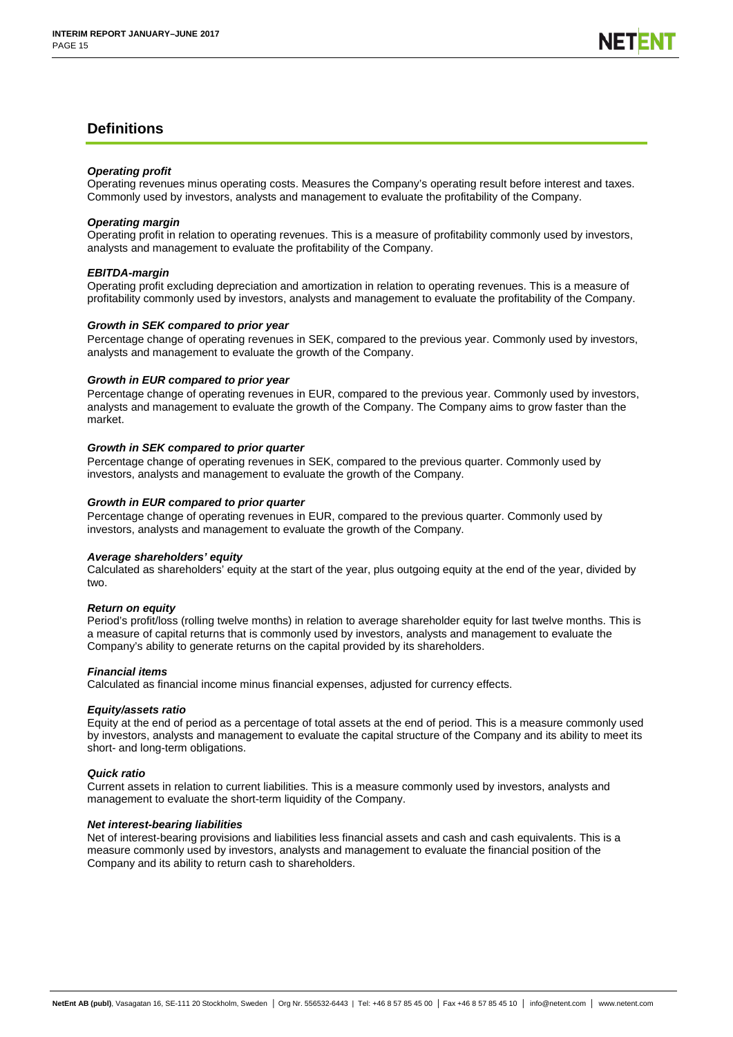# **Definitions**

### *Operating profit*

Operating revenues minus operating costs. Measures the Company's operating result before interest and taxes. Commonly used by investors, analysts and management to evaluate the profitability of the Company.

## *Operating margin*

Operating profit in relation to operating revenues. This is a measure of profitability commonly used by investors, analysts and management to evaluate the profitability of the Company.

## *EBITDA-margin*

Operating profit excluding depreciation and amortization in relation to operating revenues. This is a measure of profitability commonly used by investors, analysts and management to evaluate the profitability of the Company.

## *Growth in SEK compared to prior year*

Percentage change of operating revenues in SEK, compared to the previous year. Commonly used by investors, analysts and management to evaluate the growth of the Company.

## *Growth in EUR compared to prior year*

Percentage change of operating revenues in EUR, compared to the previous year. Commonly used by investors, analysts and management to evaluate the growth of the Company. The Company aims to grow faster than the market.

## *Growth in SEK compared to prior quarter*

Percentage change of operating revenues in SEK, compared to the previous quarter. Commonly used by investors, analysts and management to evaluate the growth of the Company.

## *Growth in EUR compared to prior quarter*

Percentage change of operating revenues in EUR, compared to the previous quarter. Commonly used by investors, analysts and management to evaluate the growth of the Company.

## *Average shareholders' equity*

Calculated as shareholders' equity at the start of the year, plus outgoing equity at the end of the year, divided by two.

## *Return on equity*

Period's profit/loss (rolling twelve months) in relation to average shareholder equity for last twelve months. This is a measure of capital returns that is commonly used by investors, analysts and management to evaluate the Company's ability to generate returns on the capital provided by its shareholders.

# *Financial items*

Calculated as financial income minus financial expenses, adjusted for currency effects.

# *Equity/assets ratio*

Equity at the end of period as a percentage of total assets at the end of period. This is a measure commonly used by investors, analysts and management to evaluate the capital structure of the Company and its ability to meet its short- and long-term obligations.

# *Quick ratio*

Current assets in relation to current liabilities. This is a measure commonly used by investors, analysts and management to evaluate the short-term liquidity of the Company.

# *Net interest-bearing liabilities*

Net of interest-bearing provisions and liabilities less financial assets and cash and cash equivalents. This is a measure commonly used by investors, analysts and management to evaluate the financial position of the Company and its ability to return cash to shareholders.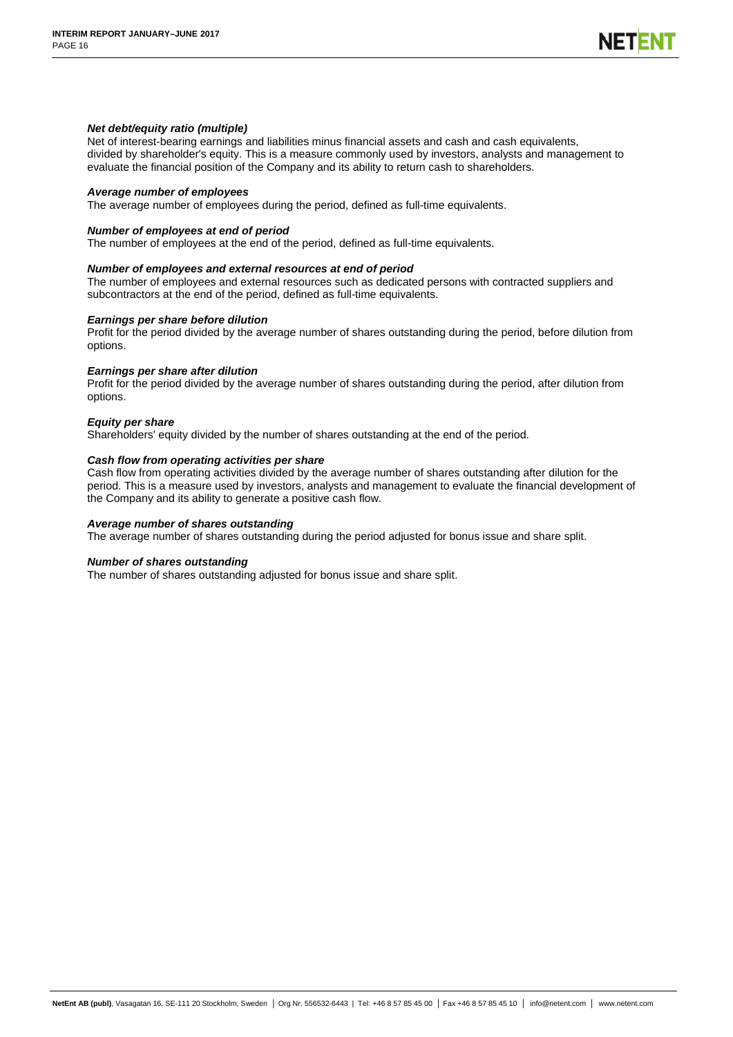## *Net debt/equity ratio (multiple)*

Net of interest-bearing earnings and liabilities minus financial assets and cash and cash equivalents, divided by shareholder's equity. This is a measure commonly used by investors, analysts and management to evaluate the financial position of the Company and its ability to return cash to shareholders.

### *Average number of employees*

The average number of employees during the period, defined as full-time equivalents.

## *Number of employees at end of period*

The number of employees at the end of the period, defined as full-time equivalents.

### *Number of employees and external resources at end of period*

The number of employees and external resources such as dedicated persons with contracted suppliers and subcontractors at the end of the period, defined as full-time equivalents.

### *Earnings per share before dilution*

Profit for the period divided by the average number of shares outstanding during the period, before dilution from options.

### *Earnings per share after dilution*

Profit for the period divided by the average number of shares outstanding during the period, after dilution from options.

### *Equity per share*

Shareholders' equity divided by the number of shares outstanding at the end of the period.

### *Cash flow from operating activities per share*

Cash flow from operating activities divided by the average number of shares outstanding after dilution for the period. This is a measure used by investors, analysts and management to evaluate the financial development of the Company and its ability to generate a positive cash flow.

#### *Average number of shares outstanding*

The average number of shares outstanding during the period adjusted for bonus issue and share split.

#### *Number of shares outstanding*

The number of shares outstanding adjusted for bonus issue and share split.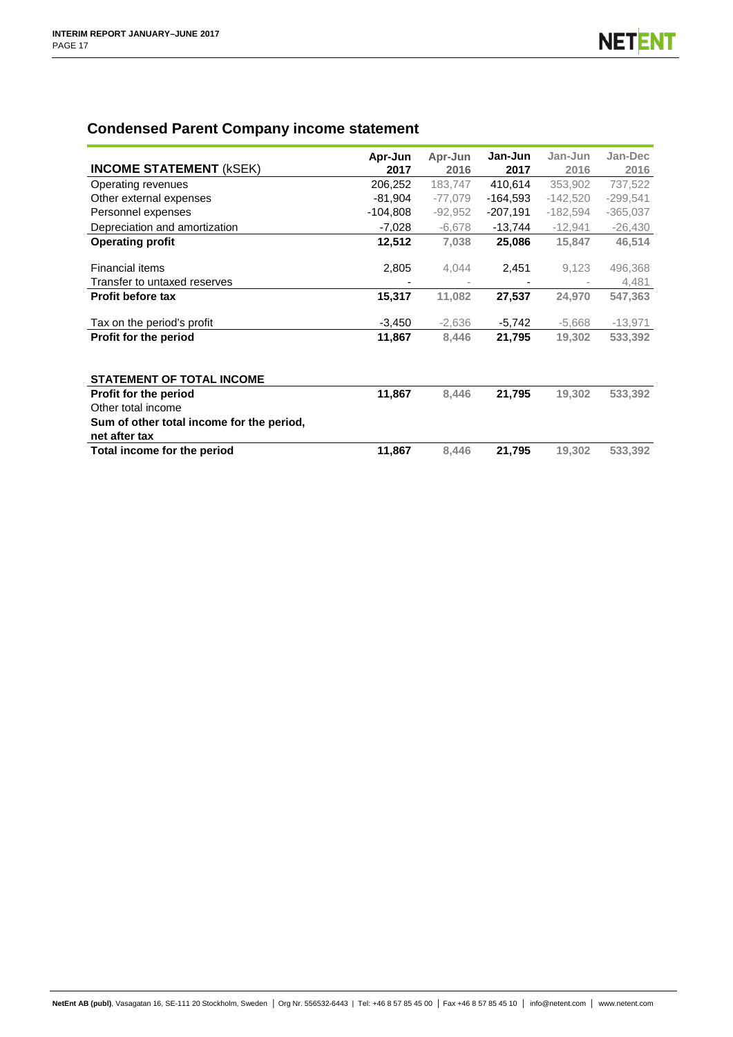# **Condensed Parent Company income statement**

|                                                            | Apr-Jun    | Apr-Jun   | Jan-Jun    | Jan-Jun    | Jan-Dec    |
|------------------------------------------------------------|------------|-----------|------------|------------|------------|
| <b>INCOME STATEMENT (KSEK)</b>                             | 2017       | 2016      | 2017       | 2016       | 2016       |
| Operating revenues                                         | 206,252    | 183,747   | 410,614    | 353,902    | 737,522    |
| Other external expenses                                    | -81,904    | $-77,079$ | -164,593   | $-142,520$ | $-299,541$ |
| Personnel expenses                                         | $-104,808$ | $-92,952$ | $-207,191$ | $-182,594$ | $-365,037$ |
| Depreciation and amortization                              | $-7,028$   | $-6,678$  | -13,744    | $-12,941$  | $-26,430$  |
| <b>Operating profit</b>                                    | 12,512     | 7,038     | 25,086     | 15,847     | 46.514     |
| <b>Financial items</b>                                     | 2,805      | 4,044     | 2,451      | 9,123      | 496,368    |
| Transfer to untaxed reserves                               |            |           |            |            | 4,481      |
| <b>Profit before tax</b>                                   | 15,317     | 11,082    | 27,537     | 24,970     | 547,363    |
| Tax on the period's profit                                 | $-3,450$   | $-2,636$  | $-5,742$   | $-5,668$   | $-13,971$  |
| Profit for the period                                      | 11,867     | 8,446     | 21,795     | 19,302     | 533,392    |
|                                                            |            |           |            |            |            |
| <b>STATEMENT OF TOTAL INCOME</b>                           |            |           |            |            |            |
| <b>Profit for the period</b>                               | 11,867     | 8,446     | 21,795     | 19,302     | 533,392    |
| Other total income                                         |            |           |            |            |            |
| Sum of other total income for the period,<br>net after tax |            |           |            |            |            |
| Total income for the period                                | 11,867     | 8,446     | 21,795     | 19,302     | 533,392    |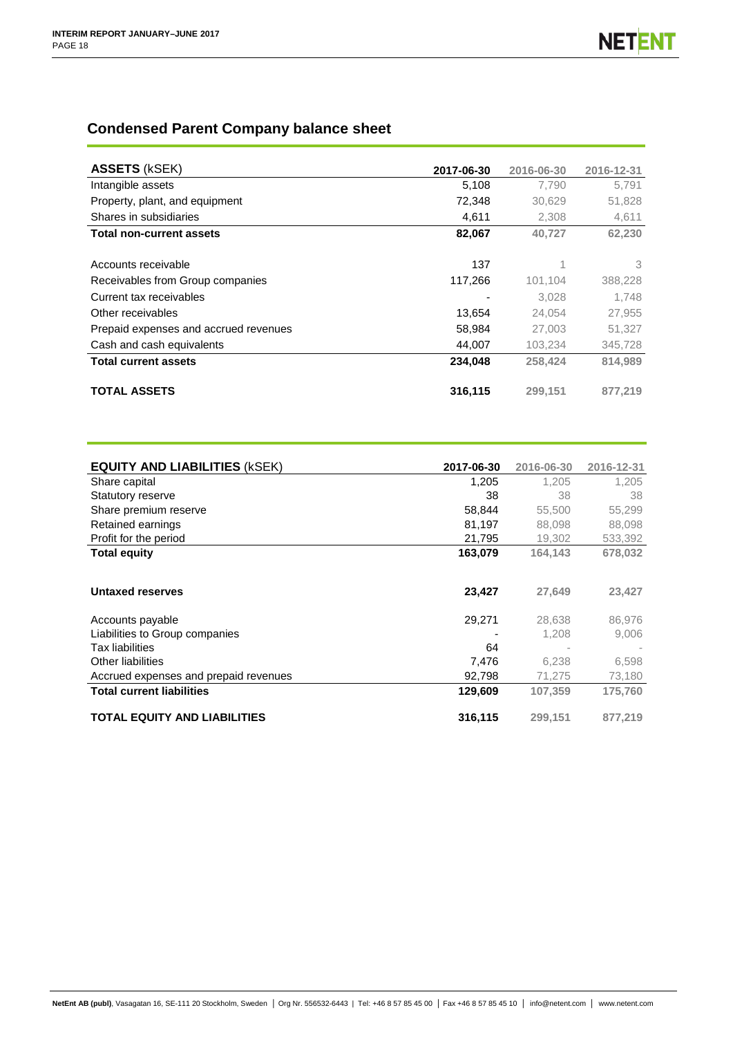# **Condensed Parent Company balance sheet**

| <b>ASSETS (kSEK)</b>                  | 2017-06-30 | 2016-06-30 | 2016-12-31 |
|---------------------------------------|------------|------------|------------|
| Intangible assets                     | 5,108      | 7.790      | 5,791      |
| Property, plant, and equipment        | 72,348     | 30,629     | 51,828     |
| Shares in subsidiaries                | 4,611      | 2.308      | 4,611      |
| <b>Total non-current assets</b>       | 82,067     | 40.727     | 62,230     |
|                                       |            |            |            |
| Accounts receivable                   | 137        |            | 3          |
| Receivables from Group companies      | 117,266    | 101.104    | 388,228    |
| Current tax receivables               |            | 3.028      | 1.748      |
| Other receivables                     | 13,654     | 24.054     | 27,955     |
| Prepaid expenses and accrued revenues | 58,984     | 27,003     | 51,327     |
| Cash and cash equivalents             | 44,007     | 103,234    | 345,728    |
| <b>Total current assets</b>           | 234.048    | 258.424    | 814.989    |
| <b>TOTAL ASSETS</b>                   | 316,115    | 299.151    | 877.219    |

| <b>EQUITY AND LIABILITIES (KSEK)</b>  | 2017-06-30 | 2016-06-30 | 2016-12-31 |
|---------------------------------------|------------|------------|------------|
| Share capital                         | 1,205      | 1,205      | 1,205      |
| <b>Statutory reserve</b>              | 38         | 38         | 38         |
| Share premium reserve                 | 58,844     | 55,500     | 55,299     |
| Retained earnings                     | 81,197     | 88,098     | 88,098     |
| Profit for the period                 | 21,795     | 19,302     | 533,392    |
| <b>Total equity</b>                   | 163,079    | 164,143    | 678.032    |
|                                       |            |            |            |
| Untaxed reserves                      | 23,427     | 27,649     | 23,427     |
| Accounts payable                      | 29,271     | 28,638     | 86,976     |
| Liabilities to Group companies        |            | 1,208      | 9,006      |
| <b>Tax liabilities</b>                | 64         |            |            |
| <b>Other liabilities</b>              | 7,476      | 6.238      | 6,598      |
| Accrued expenses and prepaid revenues | 92,798     | 71,275     | 73,180     |
| <b>Total current liabilities</b>      | 129,609    | 107,359    | 175.760    |
| <b>TOTAL EQUITY AND LIABILITIES</b>   | 316,115    | 299,151    | 877,219    |